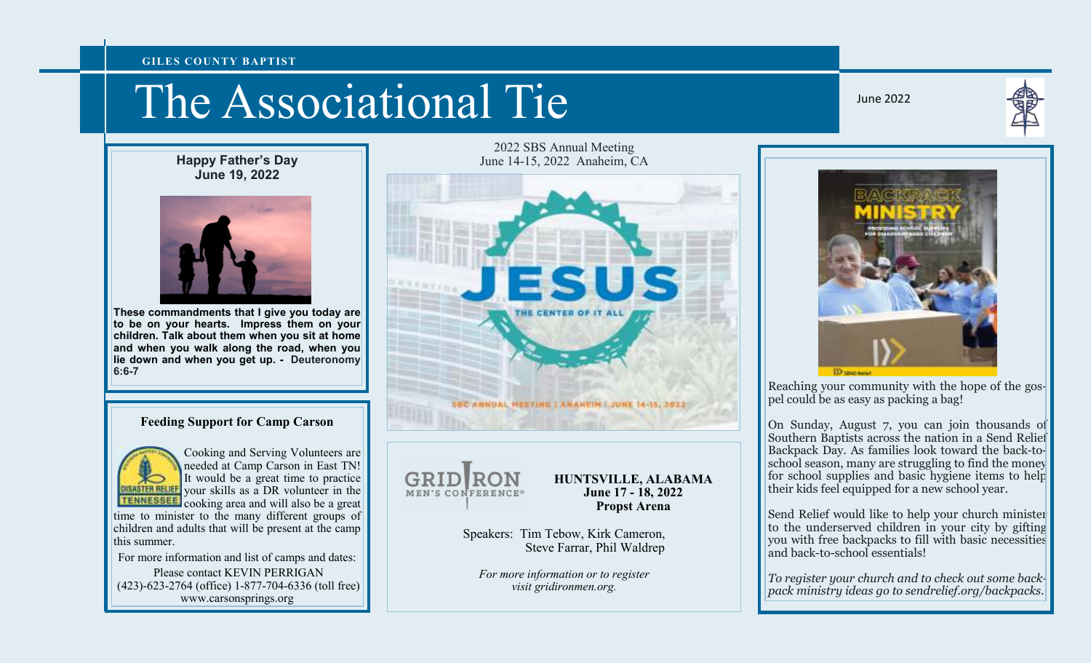#### **GILES COUNTY BAPTIST**

# The Associational Tie

June 2022



**Happy Father's Day June 19, 2022** 



**These commandments that I give you today are to be on your hearts. Impress them on your children. Talk about them when you sit at home and when you walk along the road, when you lie down and when you get up. - Deuteronomy 6:6-7** 

## **Feeding Support for Camp Carson**



Cooking and Serving Volunteers are needed at Camp Carson in East TN! It would be a great time to practice your skills as a DR volunteer in the cooking area and will also be a great

time to minister to the many different groups of children and adults that will be present at the camp this summer.

For more information and list of camps and dates: Please contact KEVIN PERRIGAN (423)-623-2764 (office) 1-877-704-6336 (toll free) www.carsonsprings.org

2022 SBS Annual Meeting June 14-15, 2022 Anaheim, CA





#### **HUNTSVILLE, ALABAMA June 17 - 18, 2022 Propst Arena**

Speakers: Tim Tebow, Kirk Cameron, Steve Farrar, Phil Waldrep

*For more information or to register visit gridironmen.org.* 



Reaching your community with the hope of the gospel could be as easy as packing a bag!

On Sunday, August 7, you can join thousands of Southern Baptists across the nation in a Send Relief Backpack Day. As families look toward the back-toschool season, many are struggling to find the money for school supplies and basic hygiene items to helptheir kids feel equipped for a new school year.

Send Relief would like to help your church minister to the underserved children in your city by gifting you with free backpacks to fill with basic necessities and back-to-school essentials!

*To register your church and to check out some backpack ministry ideas go to sendrelief.org/backpacks.*